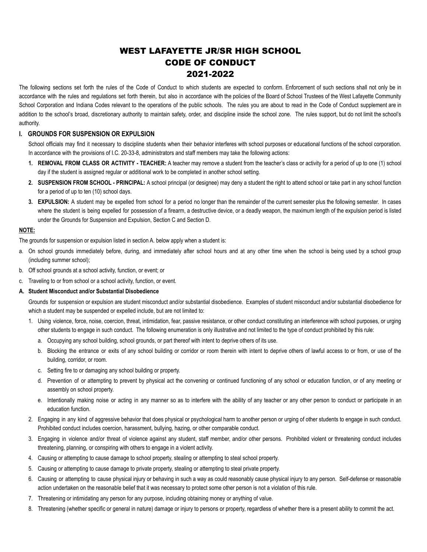# WEST LAFAYETTE JR/SR HIGH SCHOOL CODE OF CONDUCT 2021-2022

The following sections set forth the rules of the Code of Conduct to which students are expected to conform. Enforcement of such sections shall not only be in accordance with the rules and regulations set forth therein, but also in accordance with the policies of the Board of School Trustees of the West Lafayette Community School Corporation and Indiana Codes relevant to the operations of the public schools. The rules you are about to read in the Code of Conduct supplement are in addition to the school's broad, discretionary authority to maintain safety, order, and discipline inside the school zone. The rules support, but do not limit the school's authority.

# **I. GROUNDS FOR SUSPENSION OR EXPULSION**

School officials may find it necessary to discipline students when their behavior interferes with school purposes or educational functions of the school corporation. In accordance with the provisions of I.C. 20-33-8, administrators and staff members may take the following actions:

- **1. REMOVAL FROM CLASS OR ACTIVITY - TEACHER:** A teacher may remove a student from the teacher's class or activity for a period of up to one (1) school day if the student is assigned regular or additional work to be completed in another school setting.
- **2. SUSPENSION FROM SCHOOL - PRINCIPAL:** A school principal (or designee) may deny a student the right to attend school or take part in any school function for a period of up to ten (10) school days.
- **3. EXPULSION:** A student may be expelled from school for a period no longer than the remainder of the current semester plus the following semester. In cases where the student is being expelled for possession of a firearm, a destructive device, or a deadly weapon, the maximum length of the expulsion period is listed under the Grounds for Suspension and Expulsion, Section C and Section D.

### **NOTE:**

The grounds for suspension or expulsion listed in section A. below apply when a student is:

- a. On school grounds immediately before, during, and immediately after school hours and at any other time when the school is being used by a school group (including summer school);
- b. Off school grounds at a school activity, function, or event; or
- c. Traveling to or from school or a school activity, function, or event.

# **A. Student Misconduct and/or Substantial Disobedience**

Grounds for suspension or expulsion are student misconduct and/or substantial disobedience. Examples of student misconduct and/or substantial disobedience for which a student may be suspended or expelled include, but are not limited to:

- 1. Using violence, force, noise, coercion, threat, intimidation, fear, passive resistance, or other conduct constituting an interference with school purposes, or urging other students to engage in such conduct. The following enumeration is only illustrative and not limited to the type of conduct prohibited by this rule:
	- a. Occupying any school building, school grounds, or part thereof with intent to deprive others of its use.
	- b. Blocking the entrance or exits of any school building or corridor or room therein with intent to deprive others of lawful access to or from, or use of the building, corridor, or room.
	- c. Setting fire to or damaging any school building or property.
	- d. Prevention of or attempting to prevent by physical act the convening or continued functioning of any school or education function, or of any meeting or assembly on school property.
	- e. Intentionally making noise or acting in any manner so as to interfere with the ability of any teacher or any other person to conduct or participate in an education function.
- 2. Engaging in any kind of aggressive behavior that does physical or psychological harm to another person or urging of other students to engage in such conduct. Prohibited conduct includes coercion, harassment, bullying, hazing, or other comparable conduct.
- 3. Engaging in violence and/or threat of violence against any student, staff member, and/or other persons. Prohibited violent or threatening conduct includes threatening, planning, or conspiring with others to engage in a violent activity.
- 4. Causing or attempting to cause damage to school property, stealing or attempting to steal school property.
- 5. Causing or attempting to cause damage to private property, stealing or attempting to steal private property.
- 6. Causing or attempting to cause physical injury or behaving in such a way as could reasonably cause physical injury to any person. Self-defense or reasonable action undertaken on the reasonable belief that it was necessary to protect some other person is not a violation of this rule.
- 7. Threatening or intimidating any person for any purpose, including obtaining money or anything of value.
- 8. Threatening (whether specific or general in nature) damage or injury to persons or property, regardless of whether there is a present ability to commit the act.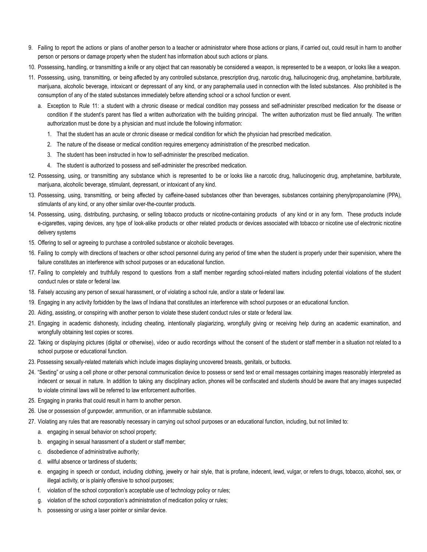- 9. Failing to report the actions or plans of another person to a teacher or administrator where those actions or plans, if carried out, could result in harm to another person or persons or damage property when the student has information about such actions or plans.
- 10. Possessing, handling, or transmitting a knife or any object that can reasonably be considered a weapon, is represented to be a weapon, or looks like a weapon.
- 11. Possessing, using, transmitting, or being affected by any controlled substance, prescription drug, narcotic drug, hallucinogenic drug, amphetamine, barbiturate, marijuana, alcoholic beverage, intoxicant or depressant of any kind, or any paraphernalia used in connection with the listed substances. Also prohibited is the consumption of any of the stated substances immediately before attending school or a school function or event.
	- a. Exception to Rule 11: a student with a chronic disease or medical condition may possess and self-administer prescribed medication for the disease or condition if the student's parent has filed a written authorization with the building principal. The written authorization must be filed annually. The written authorization must be done by a physician and must include the following information:
		- 1. That the student has an acute or chronic disease or medical condition for which the physician had prescribed medication.
		- 2. The nature of the disease or medical condition requires emergency administration of the prescribed medication.
		- 3. The student has been instructed in how to self-administer the prescribed medication.
		- 4. The student is authorized to possess and self-administer the prescribed medication.
- 12. Possessing, using, or transmitting any substance which is represented to be or looks like a narcotic drug, hallucinogenic drug, amphetamine, barbiturate, marijuana, alcoholic beverage, stimulant, depressant, or intoxicant of any kind.
- 13. Possessing, using, transmitting, or being affected by caffeine-based substances other than beverages, substances containing phenylpropanolamine (PPA), stimulants of any kind, or any other similar over-the-counter products.
- 14. Possessing, using, distributing, purchasing, or selling tobacco products or nicotine-containing products of any kind or in any form. These products include e-cigarettes, vaping devices, any type of look-alike products or other related products or devices associated with tobacco or nicotine use of electronic nicotine delivery systems
- 15. Offering to sell or agreeing to purchase a controlled substance or alcoholic beverages.
- 16. Failing to comply with directions of teachers or other school personnel during any period of time when the student is properly under their supervision, where the failure constitutes an interference with school purposes or an educational function.
- 17. Failing to completely and truthfully respond to questions from a staff member regarding school-related matters including potential violations of the student conduct rules or state or federal law.
- 18. Falsely accusing any person of sexual harassment, or of violating a school rule, and/or a state or federal law.
- 19. Engaging in any activity forbidden by the laws of Indiana that constitutes an interference with school purposes or an educational function.
- 20. Aiding, assisting, or conspiring with another person to violate these student conduct rules or state or federal law.
- 21. Engaging in academic dishonesty, including cheating, intentionally plagiarizing, wrongfully giving or receiving help during an academic examination, and wrongfully obtaining test copies or scores.
- 22. Taking or displaying pictures (digital or otherwise), video or audio recordings without the consent of the student or staff member in a situation not related to a school purpose or educational function.
- 23. Possessing sexually-related materials which include images displaying uncovered breasts, genitals, or buttocks.
- 24. "Sexting" or using a cell phone or other personal communication device to possess or send text or email messages containing images reasonably interpreted as indecent or sexual in nature. In addition to taking any disciplinary action, phones will be confiscated and students should be aware that any images suspected to violate criminal laws will be referred to law enforcement authorities.
- 25. Engaging in pranks that could result in harm to another person.
- 26. Use or possession of gunpowder, ammunition, or an inflammable substance.
- 27. Violating any rules that are reasonably necessary in carrying out school purposes or an educational function, including, but not limited to:
	- a. engaging in sexual behavior on school property;
	- b. engaging in sexual harassment of a student or staff member;
	- c. disobedience of administrative authority;
	- d. willful absence or tardiness of students;
	- e. engaging in speech or conduct, including clothing, jewelry or hair style, that is profane, indecent, lewd, vulgar, or refers to drugs, tobacco, alcohol, sex, or illegal activity, or is plainly offensive to school purposes;
	- f. violation of the school corporation's acceptable use of technology policy or rules;
	- g. violation of the school corporation's administration of medication policy or rules;
	- h. possessing or using a laser pointer or similar device.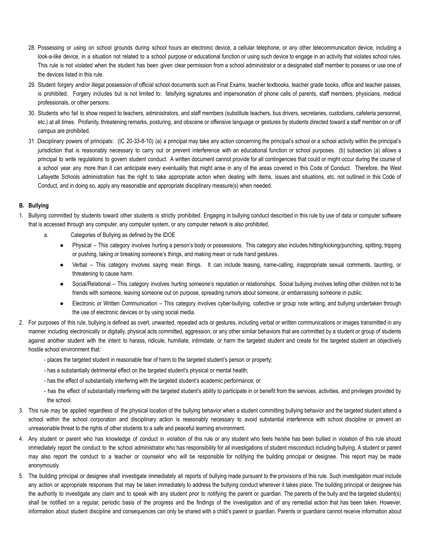- 28. Possessing or using on school grounds during school hours an electronic device, a cellular telephone, or any other telecommunication device, including a look-a-like device, in a situation not related to a school purpose or educational function or using such device to engage in an activity that violates school rules. This rule is not violated when the student has been given clear permission from a school administrator or a designated staff member to possess or use one of the devices listed in this rule.
- 29. Student forgery and/or illegal possession of official school documents such as Final Exams, teacher textbooks, teacher grade books, office and teacher passes, is prohibited. Forgery includes but is not limited to: falsifying signatures and impersonation of phone calls of parents, staff members, physicians, medical professionals, or other persons.
- 30. Students who fail to show respect to teachers, administrators, and staff members (substitute teachers, bus drivers, secretaries, custodians, cafeteria personnel, etc.) at all times. Profanity, threatening remarks, posturing, and obscene or offensive language or gestures by students directed toward a staff member on or off campus are prohibited.
- 31 .Disciplinary powers of principals: (IC 20-33-8-10) (a) a principal may take any action concerning the principal's school or a school activity within the principal's jurisdiction that is reasonably necessary to carry out or prevent interference with an educational function or school purposes. (b) subsection (a) allows a principal to write regulations to govern student conduct. A written document cannot provide for all contingencies that could or might occur during the course of a school year any more than it can anticipate every eventuality that might arise in any of the areas covered in this Code of Conduct. Therefore, the West Lafayette Schools administration has the right to take appropriate action when dealing with items, issues and situations, etc. not outlined in this Code of Conduct, and in doing so, apply any reasonable and appropriate disciplinary measure(s) when needed.

# **B. Bullying**

- 1. Bullying committed by students toward other students is strictly prohibited. Engaging in bullying conduct described in this rule by use of data or computer software that is accessed through any computer, any computer system, or any computer network is also prohibited.
	- a. Categories of Bullying as defined by the IDOE
		- Physical This category involves hurting a person's body or possessions. This category also includes hitting/kicking/punching, spitting, tripping or pushing, taking or breaking someone's things, and making mean or rude hand gestures.
		- Verbal This category involves saying mean things. It can include teasing, name-calling, inappropriate sexual comments, taunting, or threatening to cause harm.
		- Social/Relational This category involves hurting someone's reputation or relationships. Social bullying involves telling other children not to be friends with someone, leaving someone out on purpose, spreading rumors about someone, or embarrassing someone in public.
		- Electronic or Written Communication This category involves cyber-bullying, collective or group note writing, and bullying undertaken through the use of electronic devices or by using social media.
- 2. For purposes of this rule, bullying is defined as overt, unwanted, repeated acts or gestures, including verbal or written communications or images transmitted in any manner including electronically or digitally, physical acts committed, aggression, or any other similar behaviors that are committed by a student or group of students against another student with the intent to harass, ridicule, humiliate, intimidate, or harm the targeted student and create for the targeted student an objectively hostile school environment that:
	- places the targeted student in reasonable fear of harm to the targeted student's person or property;
	- has a substantially detrimental effect on the targeted student's physical or mental health;
	- has the effect of substantially interfering with the targeted student's academic performance; or
	- has the effect of substantially interfering with the targeted student's ability to participate in or benefit from the services, activities, and privileges provided by the school.
- 3. This rule may be applied regardless of the physical location of the bullying behavior when a student committing bullying behavior and the targeted student attend a school within the school corporation and disciplinary action is reasonably necessary to avoid substantial interference with school discipline or prevent an unreasonable threat to the rights of other students to a safe and peaceful learning environment.
- 4. Any student or parent who has knowledge of conduct in violation of this rule or any student who feels he/she has been bullied in violation of this rule should immediately report the conduct to the school administrator who has responsibility for all investigations of student misconduct including bullying. A student or parent may also report the conduct to a teacher or counselor who will be responsible for notifying the building principal or designee. This report may be made anonymously.
- 5. The building principal or designee shall investigate immediately all reports of bullying made pursuant to the provisions of this rule. Such investigation must include any action or appropriate responses that may be taken immediately to address the bullying conduct wherever it takes place. The building principal or designee has the authority to investigate any claim and to speak with any student prior to notifying the parent or guardian. The parents of the bully and the targeted student(s) shall be notified on a regular, periodic basis of the progress and the findings of the investigation and of any remedial action that has been taken. However, information about student discipline and consequences can only be shared with a child's parent or guardian. Parents or guardians cannot receive information about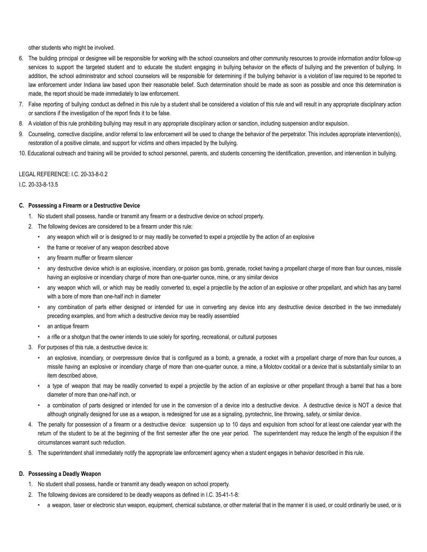other students who might be involved.

- 6. The building principal or designee will be responsible for working with the school counselors and other community resources to provide information and/or follow-up services to support the targeted student and to educate the student engaging in bullying behavior on the effects of bullying and the prevention of bullying. In addition, the school administrator and school counselors will be responsible for determining if the bullying behavior is a violation of law required to be reported to law enforcement under Indiana law based upon their reasonable belief. Such determination should be made as soon as possible and once this determination is made, the report should be made immediately to law enforcement.
- 7. False reporting of bullying conduct as defined in this rule by a student shall be considered a violation of this rule and will result in any appropriate disciplinary action or sanctions if the investigation of the report finds it to be false.
- 8. A violation of this rule prohibiting bullying may result in any appropriate disciplinary action or sanction, including suspension and/or expulsion.
- 9. Counseling, corrective discipline, and/or referral to law enforcement will be used to change the behavior of the perpetrator. This includes appropriate intervention(s), restoration of a positive climate, and support for victims and others impacted by the bullying.
- 10. Educational outreach and training will be provided to school personnel, parents, and students concerning the identification, prevention, and intervention in bullying.

# LEGAL REFERENCE: I.C. 20-33-8-0.2

I.C. 20-33-8-13.5

# **C. Possessing a Firearm or a Destructive Device**

- 1. No student shall possess, handle or transmit any firearm or a destructive device on school property.
- 2. The following devices are considered to be a firearm under this rule:
	- any weapon which will or is designed to or may readily be converted to expel a projectile by the action of an explosive
	- the frame or receiver of any weapon described above
	- any firearm muffler or firearm silencer
	- any destructive device which is an explosive, incendiary, or poison gas bomb, grenade, rocket having a propellant charge of more than four ounces, missile having an explosive or incendiary charge of more than one-quarter ounce, mine, or any similar device
	- any weapon which will, or which may be readily converted to, expel a projectile by the action of an explosive or other propellant, and which has any barrel with a bore of more than one-half inch in diameter
	- any combination of parts either designed or intended for use in converting any device into any destructive device described in the two immediately preceding examples, and from which a destructive device may be readily assembled
	- an antique firearm
	- a rifle or a shotgun that the owner intends to use solely for sporting, recreational, or cultural purposes
- 3. For purposes of this rule, a destructive device is:
	- an explosive, incendiary, or overpressure device that is configured as a bomb, a grenade, a rocket with a propellant charge of more than four ounces, a missile having an explosive or incendiary charge of more than one-quarter ounce, a mine, a Molotov cocktail or a device that is substantially similar to an item described above,
	- a type of weapon that may be readily converted to expel a projectile by the action of an explosive or other propellant through a barrel that has a bore diameter of more than one-half inch, or
	- a combination of parts designed or intended for use in the conversion of a device into a destructive device. A destructive device is NOT a device that although originally designed for use as a weapon, is redesigned for use as a signaling, pyrotechnic, line throwing, safety, or similar device.
- 4. The penalty for possession of a firearm or a destructive device: suspension up to 10 days and expulsion from school for at least one calendar year with the return of the student to be at the beginning of the first semester after the one year period. The superintendent may reduce the length of the expulsion if the circumstances warrant such reduction.
- 5. The superintendent shall immediately notify the appropriate law enforcement agency when a student engages in behavior described in this rule.

#### **D. Possessing a Deadly Weapon**

- 1. No student shall possess, handle or transmit any deadly weapon on school property.
- 2. The following devices are considered to be deadly weapons as defined in I.C. 35-41-1-8:
	- a weapon, taser or electronic stun weapon, equipment, chemical substance, or other material that in the manner it is used, or could ordinarily be used, or is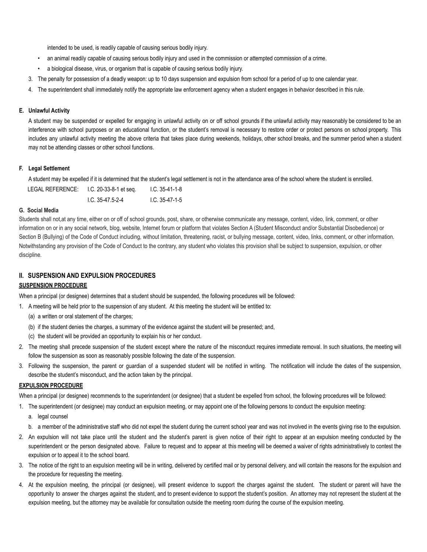intended to be used, is readily capable of causing serious bodily injury.

- an animal readily capable of causing serious bodily injury and used in the commission or attempted commission of a crime.
- a biological disease, virus, or organism that is capable of causing serious bodily injury.
- 3. The penalty for possession of a deadly weapon: up to 10 days suspension and expulsion from school for a period of up to one calendar year.
- 4. The superintendent shall immediately notify the appropriate law enforcement agency when a student engages in behavior described in this rule.

### **E. Unlawful Activity**

A student may be suspended or expelled for engaging in unlawful activity on or off school grounds if the unlawful activity may reasonably be considered to be an interference with school purposes or an educational function, or the student's removal is necessary to restore order or protect persons on school property. This includes any unlawful activity meeting the above criteria that takes place during weekends, holidays, other school breaks, and the summer period when a student may not be attending classes or other school functions.

# **F. Legal Settlement**

A student may be expelled if it is determined that the student's legal settlement is not in the attendance area of the school where the student is enrolled.

| LEGAL REFERENCE: | I.C. 20-33-8-1 et seg. | I.C. 35-41-1-8   |
|------------------|------------------------|------------------|
|                  | $1.C. 35-47.5-2-4$     | $1.C. 35-47-1-5$ |

# **G. Social Media**

Students shall not,at any time, either on or off of school grounds, post, share, or otherwise communicate any message, content, video, link, comment, or other information on or in any social network, blog, website, Internet forum or platform that violates Section A (Student Misconduct and/or Substantial Disobedience) or Section B (Bullying) of the Code of Conduct including, without limitation, threatening, racist, or bullying message, content, video, links, comment, or other information. Notwithstanding any provision of the Code of Conduct to the contrary, any student who violates this provision shall be subject to suspension, expulsion, or other discipline.

# **II. SUSPENSION AND EXPULSION PROCEDURES**

# **SUSPENSION PROCEDURE**

When a principal (or designee) determines that a student should be suspended, the following procedures will be followed:

1. A meeting will be held prior to the suspension of any student. At this meeting the student will be entitled to:

- (a) a written or oral statement of the charges;
- (b) if the student denies the charges, a summary of the evidence against the student will be presented; and,
- (c) the student will be provided an opportunity to explain his or her conduct.
- 2. The meeting shall precede suspension of the student except where the nature of the misconduct requires immediate removal. In such situations, the meeting will follow the suspension as soon as reasonably possible following the date of the suspension.
- 3. Following the suspension, the parent or guardian of a suspended student will be notified in writing. The notification will include the dates of the suspension, describe the student's misconduct, and the action taken by the principal.

#### **EXPULSION PROCEDURE**

When a principal (or designee) recommends to the superintendent (or designee) that a student be expelled from school, the following procedures will be followed:

- 1. The superintendent (or designee) may conduct an expulsion meeting, or may appoint one of the following persons to conduct the expulsion meeting:
	- a. legal counsel
	- b. a member of the administrative staff who did not expel the student during the current school year and was not involved in the events giving rise to the expulsion.
- 2. An expulsion will not take place until the student and the student's parent is given notice of their right to appear at an expulsion meeting conducted by the superintendent or the person designated above. Failure to request and to appear at this meeting will be deemed a waiver of rights administratively to contest the expulsion or to appeal it to the school board.
- 3. The notice of the right to an expulsion meeting will be in writing, delivered by certified mail or by personal delivery, and will contain the reasons for the expulsion and the procedure for requesting the meeting.
- 4. At the expulsion meeting, the principal (or designee), will present evidence to support the charges against the student. The student or parent will have the opportunity to answer the charges against the student, and to present evidence to support the student's position. An attorney may not represent the student at the expulsion meeting, but the attorney may be available for consultation outside the meeting room during the course of the expulsion meeting.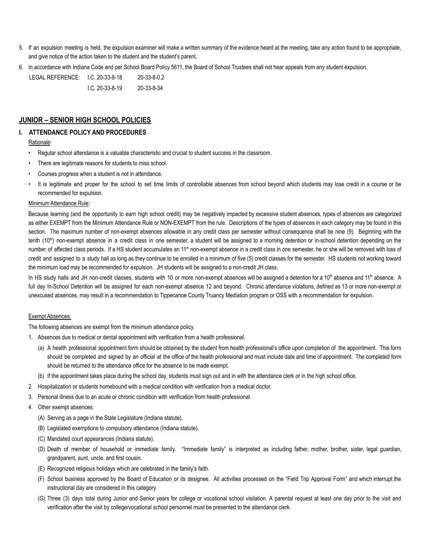- 5. If an expulsion meeting is held, the expulsion examiner will make a written summary of the evidence heard at the meeting, take any action found to be appropriate, and give notice of the action taken to the student and the student's parent.
- 6. In accordance with Indiana Code and per School Board Policy 5611, the Board of School Trustees shall not hear appeals from any student expulsion.

LEGAL REFERENCE: I.C. 20-33-8-18 20-33-8-0.2 I.C. 20-33-8-19 20-33-8-34

# **JUNIOR – SENIOR HIGH SCHOOL POLICIES**

### **I. ATTENDANCE POLICY AND PROCEDURES**

#### Rationale:

- Regular school attendance is a valuable characteristic and crucial to student success in the classroom.
- There are legitimate reasons for students to miss school.
- Courses progress when a student is not in attendance.
- It is legitimate and proper for the school to set time limits of controllable absences from school beyond which students may lose credit in a course or be recommended for expulsion.

#### Minimum Attendance Rule:

Because learning (and the opportunity to earn high school credit) may be negatively impacted by excessive student absences, types of absences are categorized as either EXEMPT from the Minimum Attendance Rule or NON-EXEMPT from the rule. Descriptions of the types of absences in each category may be found in this section. The maximum number of non-exempt absences allowable in any credit class per semester without consequence shall be nine (9). Beginning with the tenth (10<sup>th</sup>) non-exempt absence in a credit class in one semester, a student will be assigned to a morning detention or in-school detention depending on the number of affected class periods. If a HS student accumulates an 11<sup>th</sup> non-exempt absence in a credit class in one semester, he or she will be removed with loss of credit and assigned to a study hall as long as they continue to be enrolled in a minimum of five (5) credit classes for the semester. HS students not working toward the minimum load may be recommended for expulsion. JH students will be assigned to a non-credit JH class.

In HS study halls and JH non-credit classes, students with 10 or more non-exempt absences will be assigned a detention for a 10<sup>th</sup> absence and 11<sup>th</sup> absence. A full day In-School Detention will be assigned for each non-exempt absence 12 and beyond. Chronic attendance violations, defined as 13 or more non-exempt or unexcused absences, may result in a recommendation to Tippecanoe County Truancy Mediation program or OSS with a recommendation for expulsion.

## Exempt Absences:

The following absences are exempt from the minimum attendance policy.

- 1. Absences due to medical or dental appointment with verification from a health professional.
	- (a) A health professional appointment form should be obtained by the student from health professional's office upon completion of the appointment. This form should be completed and signed by an official at the office of the health professional and must include date and time of appointment. The completed form should be returned to the attendance office for the absence to be made exempt.
	- (b) If the appointment takes place during the school day, students must sign out and in with the attendance clerk or in the high school office.
- 2. Hospitalization or students homebound with a medical condition with verification from a medical doctor.
- 3. Personal illness due to an acute or chronic condition with verification from health professional.
- 4. Other exempt absences:
	- (A) Serving as a page in the State Legislature (Indiana statute).
	- (B) Legislated exemptions to compulsory attendance (Indiana statute).
	- (C) Mandated court appearances (Indiana statute).
	- (D) Death of member of household or immediate family. "Immediate family" is interpreted as including father, mother, brother, sister, legal guardian, grandparent, aunt, uncle, and first cousin.
	- (E) Recognized religious holidays which are celebrated in the family's faith.
	- (F) School business approved by the Board of Education or its designee. All activities processed on the "Field Trip Approval Form" and which interrupt the instructional day are considered in this category.
	- (G) Three (3) days total during Junior and Senior years for college or vocational school visitation. A parental request at least one day prior to the visit and verification after the visit by college/vocational school personnel must be presented to the attendance clerk.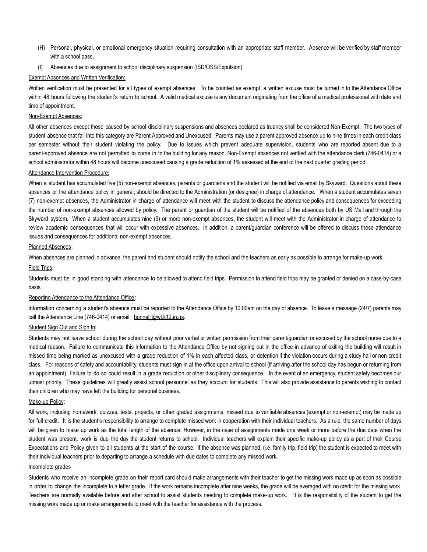- (H) Personal, physical, or emotional emergency situation requiring consultation with an appropriate staff member. Absence will be verified by staff member with a school pass.
- (I) Absences due to assignment to school disciplinary suspension (ISD/OSS/Expulsion).

#### **Exempt Absences and Written Verification:**

Written verification must be presented for all types of exempt absences. To be counted as exempt, a written excuse must be turned in to the Attendance Office within 48 hours following the student's return to school. A valid medical excuse is any document originating from the office of a medical professional with date and time of appointment.

# Non-Exempt Absences:

All other absences except those caused by school disciplinary suspensions and absences declared as truancy shall be considered Non-Exempt. The two types of student absence that fall into this category are Parent Approved and Unexcused. Parents may use a parent approved absence up to nine times in each credit class per semester without their student violating the policy. Due to issues which prevent adequate supervision, students who are reported absent due to a parent-approved absence are not permitted to come in to the building for any reason. Non-Exempt absences not verified with the attendance clerk (746-0414) or a school administrator within 48 hours will become unexcused causing a grade reduction of 1% assessed at the end of the next quarter grading period.

#### Attendance Intervention Procedure**:**

When a student has accumulated five (5) non-exempt absences, parents or guardians and the student will be notified via email by Skyward. Questions about these absences or the attendance policy in general, should be directed to the Administration (or designee) in charge of attendance. When a student accumulates seven (7) non-exempt absences, the Administrator in charge of attendance will meet with the student to discuss the attendance policy and consequences for exceeding the number of non-exempt absences allowed by policy. The parent or guardian of the student will be notified of the absences both by US Mail and through the Skyward system. When a student accumulates nine (9) or more non-exempt absences, the student will meet with the Administrator in charge of attendance to review academic consequences that will occur with excessive absences. In addition, a parent/guardian conference will be offered to discuss these attendance issues and consequences for additional non-exempt absences.

### Planned Absences:

When absences are planned in advance, the parent and student should notify the school and the teachers as early as possible to arrange for make-up work.

#### Field Trips:

Students must be in good standing with attendance to be allowed to attend field trips. Permission to attend field trips may be granted or denied on a case-by-case basis.

#### Reporting Attendance to the Attendance Office:

Information concerning a student's absence must be reported to the Attendance Office by 10:00am on the day of absence. To leave a message (24/7) parents may call the Attendance Line (746-0414) or email: bonnelli@wl.k12.in.us.

#### Student Sign Out and Sign In:

Students may not leave school during the school day without prior verbal or written permission from their parent/guardian or excused by the school nurse due to a medical reason. Failure to communicate this information to the Attendance Office by not signing out in the office in advance of exiting the building will result in missed time being marked as unexcused with a grade reduction of 1% in each affected class, or detention if the violation occurs during a study hall or non-credit class. For reasons of safety and accountability, students must sign-in at the office upon arrival to school (if arriving after the school day has begun or returning from an appointment). Failure to do so could result in a grade reduction or other disciplinary consequence. In the event of an emergency, student safety becomes our utmost priority. These guidelines will greatly assist school personnel as they account for students. This will also provide assistance to parents wishing to contact their children who may have left the building for personal business.

# Make-up Policy:

All work, including homework, quizzes, tests, projects, or other graded assignments, missed due to verifiable absences (exempt or non-exempt) may be made up for full credit. It is the student's responsibility to arrange to complete missed work in cooperation with their individual teachers. As a rule, the same number of days will be given to make up work as the total length of the absence. However, in the case of assignments made one week or more before the due date when the student was present, work is due the day the student returns to school. Individual teachers will explain their specific make-up policy as a part of their Course Expectations and Policy given to all students at the start of the course. If the absence was planned, (i.e. family trip, field trip) the student is expected to meet with their individual teachers prior to departing to arrange a schedule with due dates to complete any missed work.

# Incomplete grades

Students who receive an incomplete grade on their report card should make arrangements with their teacher to get the missing work made up as soon as possible in order to change the incomplete to a letter grade. If the work remains incomplete after nine weeks, the grade will be averaged with no credit for the missing work. Teachers are normally available before and after school to assist students needing to complete make-up work. It is the responsibility of the student to get the missing work made up or make arrangements to meet with the teacher for assistance with the process.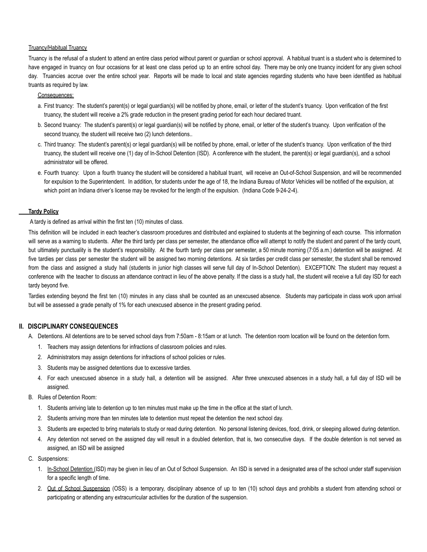#### Truancy/Habitual Truancy

Truancy is the refusal of a student to attend an entire class period without parent or guardian or school approval. A habitual truant is a student who is determined to have engaged in truancy on four occasions for at least one class period up to an entire school day. There may be only one truancy incident for any given school day. Truancies accrue over the entire school year. Reports will be made to local and state agencies regarding students who have been identified as habitual truants as required by law.

#### Consequences:

- a. First truancy: The student's parent(s) or legal guardian(s) will be notified by phone, email, or letter of the student's truancy. Upon verification of the first truancy, the student will receive a 2% grade reduction in the present grading period for each hour declared truant.
- b. Second truancy: The student's parent(s) or legal guardian(s) will be notified by phone, email, or letter of the student's truancy. Upon verification of the second truancy, the student will receive two (2) lunch detentions..
- c. Third truancy: The student's parent(s) or legal guardian(s) will be notified by phone, email, or letter of the student's truancy. Upon verification of the third truancy, the student will receive one (1) day of In-School Detention (ISD). A conference with the student, the parent(s) or legal guardian(s), and a school administrator will be offered.
- e. Fourth truancy: Upon a fourth truancy the student will be considered a habitual truant, will receive an Out-of-School Suspension, and will be recommended for expulsion to the Superintendent. In addition, for students under the age of 18, the Indiana Bureau of Motor Vehicles will be notified of the expulsion, at which point an Indiana driver's license may be revoked for the length of the expulsion. (Indiana Code 9-24-2-4).

#### **Tardy Policy**

A tardy is defined as arrival within the first ten (10) minutes of class.

This definition will be included in each teacher's classroom procedures and distributed and explained to students at the beginning of each course. This information will serve as a warning to students. After the third tardy per class per semester, the attendance office will attempt to notify the student and parent of the tardy count, but ultimately punctuality is the student's responsibility. At the fourth tardy per class per semester, a 50 minute morning (7:05 a.m.) detention will be assigned. At five tardies per class per semester the student will be assigned two morning detentions. At six tardies per credit class per semester, the student shall be removed from the class and assigned a study hall (students in junior high classes will serve full day of In-School Detention). EXCEPTION: The student may request a conference with the teacher to discuss an attendance contract in lieu of the above penalty. If the class is a study hall, the student will receive a full day ISD for each tardy beyond five.

Tardies extending beyond the first ten (10) minutes in any class shall be counted as an unexcused absence. Students may participate in class work upon arrival but will be assessed a grade penalty of 1% for each unexcused absence in the present grading period.

# **II. DISCIPLINARY CONSEQUENCES**

- A. Detentions. All detentions are to be served school days from 7:50am 8:15am or at lunch. The detention room location will be found on the detention form.
	- 1. Teachers may assign detentions for infractions of classroom policies and rules.
	- 2. Administrators may assign detentions for infractions of school policies or rules.
	- 3. Students may be assigned detentions due to excessive tardies.
	- 4. For each unexcused absence in a study hall, a detention will be assigned. After three unexcused absences in a study hall, a full day of ISD will be assigned.
- B. Rules of Detention Room:
	- 1. Students arriving late to detention up to ten minutes must make up the time in the office at the start of lunch.
	- 2. Students arriving more than ten minutes late to detention must repeat the detention the next school day.
	- 3. Students are expected to bring materials to study or read during detention. No personal listening devices, food, drink, or sleeping allowed during detention.
	- 4. Any detention not served on the assigned day will result in a doubled detention, that is, two consecutive days. If the double detention is not served as assigned, an ISD will be assigned
- C. Suspensions:
	- 1. In-School Detention (ISD) may be given in lieu of an Out of School Suspension. An ISD is served in a designated area of the school under staff supervision for a specific length of time.
	- 2. Out of School Suspension (OSS) is a temporary, disciplinary absence of up to ten (10) school days and prohibits a student from attending school or participating or attending any extracurricular activities for the duration of the suspension.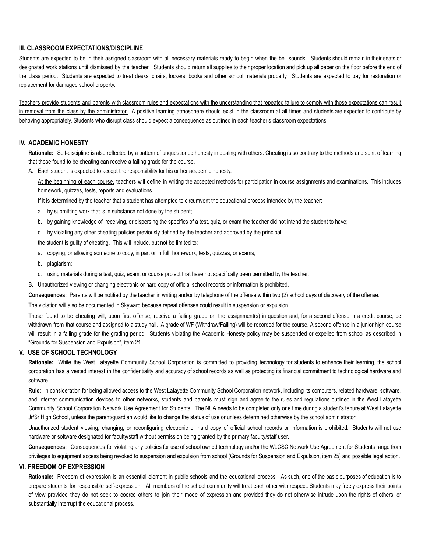# **III. CLASSROOM EXPECTATIONS/DISCIPLINE**

Students are expected to be in their assigned classroom with all necessary materials ready to begin when the bell sounds. Students should remain in their seats or designated work stations until dismissed by the teacher. Students should return all supplies to their proper location and pick up all paper on the floor before the end of the class period. Students are expected to treat desks, chairs, lockers, books and other school materials properly. Students are expected to pay for restoration or replacement for damaged school property.

Teachers provide students and parents with classroom rules and expectations with the understanding that repeated failure to comply with those expectations can result in removal from the class by the administrator. A positive learning atmosphere should exist in the classroom at all times and students are expected to contribute by behaving appropriately. Students who disrupt class should expect a consequence as outlined in each teacher's classroom expectations.

# **IV. ACADEMIC HONESTY**

**Rationale:** Self-discipline is also reflected by a pattern of unquestioned honesty in dealing with others. Cheating is so contrary to the methods and spirit of learning that those found to be cheating can receive a failing grade for the course.

A. Each student is expected to accept the responsibility for his or her academic honesty.

At the beginning of each course, teachers will define in writing the accepted methods for participation in course assignments and examinations. This includes homework, quizzes, tests, reports and evaluations.

If it is determined by the teacher that a student has attempted to circumvent the educational process intended by the teacher:

- a. by submitting work that is in substance not done by the student;
- b. by gaining knowledge of, receiving, or dispersing the specifics of a test, quiz, or exam the teacher did not intend the student to have;
- c. by violating any other cheating policies previously defined by the teacher and approved by the principal;

the student is guilty of cheating. This will include, but not be limited to:

- a. copying, or allowing someone to copy, in part or in full, homework, tests, quizzes, or exams;
- b. plagiarism;
- c. using materials during a test, quiz, exam, or course project that have not specifically been permitted by the teacher.
- B. Unauthorized viewing or changing electronic or hard copy of official school records or information is prohibited.

**Consequences:** Parents will be notified by the teacher in writing and/or by telephone of the offense within two (2) school days of discovery of the offense.

The violation will also be documented in Skyward because repeat offenses could result in suspension or expulsion.

Those found to be cheating will, upon first offense, receive a failing grade on the assignment(s) in question and, for a second offense in a credit course, be withdrawn from that course and assigned to a study hall. A grade of WF (Withdraw/Failing) will be recorded for the course. A second offense in a junior high course will result in a failing grade for the grading period. Students violating the Academic Honesty policy may be suspended or expelled from school as described in "Grounds for Suspension and Expulsion", item 21.

# **V. USE OF SCHOOL TECHNOLOGY**

**Rationale:** While the West Lafayette Community School Corporation is committed to providing technology for students to enhance their learning, the school corporation has a vested interest in the confidentiality and accuracy of school records as well as protecting its financial commitment to technological hardware and software.

**Rule:** In consideration for being allowed access to the West Lafayette Community School Corporation network, including its computers, related hardware, software, and internet communication devices to other networks, students and parents must sign and agree to the rules and regulations outlined in the West Lafayette Community School Corporation Network Use Agreement for Students. The NUA needs to be completed only one time during a student's tenure at West Lafayette Jr/Sr High School, unless the parent/guardian would like to change the status of use or unless determined otherwise by the school administrator.

Unauthorized student viewing, changing, or reconfiguring electronic or hard copy of official school records or information is prohibited. Students will not use hardware or software designated for faculty/staff without permission being granted by the primary faculty/staff user.

**Consequences:** Consequences for violating any policies for use of school owned technology and/or the WLCSC Network Use Agreement for Students range from privileges to equipment access being revoked to suspension and expulsion from school (Grounds for Suspension and Expulsion, item 25) and possible legal action.

#### **VI. FREEDOM OF EXPRESSION**

**Rationale:** Freedom of expression is an essential element in public schools and the educational process. As such, one of the basic purposes of education is to prepare students for responsible self-expression. All members of the school community will treat each other with respect. Students may freely express their points of view provided they do not seek to coerce others to join their mode of expression and provided they do not otherwise intrude upon the rights of others, or substantially interrupt the educational process.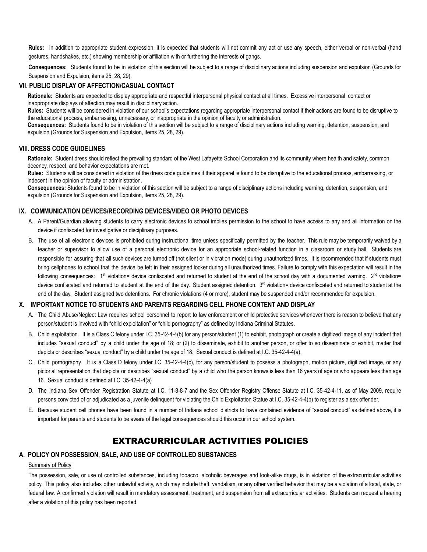**Rules:** In addition to appropriate student expression, it is expected that students will not commit any act or use any speech, either verbal or non-verbal (hand gestures, handshakes, etc.) showing membership or affiliation with or furthering the interests of gangs.

**Consequences:** Students found to be in violation of this section will be subject to a range of disciplinary actions including suspension and expulsion (Grounds for Suspension and Expulsion, items 25, 28, 29).

# **VII. PUBLIC DISPLAY OF AFFECTION/CASUAL CONTACT**

**Rationale:** Students are expected to display appropriate and respectful interpersonal physical contact at all times. Excessive interpersonal contact or inappropriate displays of affection may result in disciplinary action.

**Rules:** Students will be considered in violation of our school's expectations regarding appropriate interpersonal contact if their actions are found to be disruptive to the educational process, embarrassing, unnecessary, or inappropriate in the opinion of faculty or administration.

**Consequences:** Students found to be in violation of this section will be subject to a range of disciplinary actions including warning, detention, suspension, and expulsion (Grounds for Suspension and Expulsion, items 25, 28, 29).

#### **VIII. DRESS CODE GUIDELINES**

**Rationale:** Student dress should reflect the prevailing standard of the West Lafayette School Corporation and its community where health and safety, common decency, respect, and behavior expectations are met.

**Rules:** Students will be considered in violation of the dress code guidelines if their apparel is found to be disruptive to the educational process, embarrassing, or indecent in the opinion of faculty or administration.

**Consequences:** Students found to be in violation of this section will be subject to a range of disciplinary actions including warning, detention, suspension, and expulsion (Grounds for Suspension and Expulsion, items 25, 28, 29).

# **IX. COMMUNICATION DEVICES/RECORDING DEVICES/VIDEO OR PHOTO DEVICES**

- A. A Parent/Guardian allowing students to carry electronic devices to school implies permission to the school to have access to any and all information on the device if confiscated for investigative or disciplinary purposes.
- B. The use of all electronic devices is prohibited during instructional time unless specifically permitted by the teacher. This rule may be temporarily waived by a teacher or supervisor to allow use of a personal electronic device for an appropriate school-related function in a classroom or study hall. Students are responsible for assuring that all such devices are turned off (not silent or in vibration mode) during unauthorized times. It is recommended that if students must bring cellphones to school that the device be left in their assigned locker during all unauthorized times. Failure to comply with this expectation will result in the following consequences: 1<sup>st</sup> violation= device confiscated and returned to student at the end of the school day with a documented warning. 2<sup>nd</sup> violation= device confiscated and returned to student at the end of the day. Student assigned detention. 3<sup>rd</sup> violation= device confiscated and returned to student at the end of the day. Student assigned two detentions. For chronic violations (4 or more), student may be suspended and/or recommended for expulsion.

# **X. IMPORTANT NOTICE TO STUDENTS AND PARENTS REGARDING CELL PHONE CONTENT AND DISPLAY**

- A. The Child Abuse/Neglect Law requires school personnel to report to law enforcement or child protective services whenever there is reason to believe that any person/student is involved with "child exploitation" or "child pornography" as defined by Indiana Criminal Statutes.
- B. Child exploitation. It is a Class C felony under I.C. 35-42-4-4(b) for any person/student (1) to exhibit, photograph or create a digitized image of any incident that includes "sexual conduct" by a child under the age of 18; or (2) to disseminate, exhibit to another person, or offer to so disseminate or exhibit, matter that depicts or describes "sexual conduct" by a child under the age of 18. Sexual conduct is defined at I.C. 35-42-4-4(a).
- C. Child pornography. It is a Class D felony under I.C. 35-42-4-4(c), for any person/student to possess a photograph, motion picture, digitized image, or any pictorial representation that depicts or describes "sexual conduct" by a child who the person knows is less than 16 years of age or who appears less than age 16. Sexual conduct is defined at I.C. 35-42-4-4(a)
- D. The Indiana Sex Offender Registration Statute at I.C. 11-8-8-7 and the Sex Offender Registry Offense Statute at I.C. 35-42-4-11, as of May 2009, require persons convicted of or adjudicated as a juvenile delinquent for violating the Child Exploitation Statue at I.C. 35-42-4-4(b) to register as a sex offender.
- E. Because student cell phones have been found in a number of Indiana school districts to have contained evidence of "sexual conduct" as defined above, it is important for parents and students to be aware of the legal consequences should this occur in our school system.

# EXTRACURRICULAR ACTIVITIES POLICIES

# **A. POLICY ON POSSESSION, SALE, AND USE OF CONTROLLED SUBSTANCES**

# Summary of Policy

The possession, sale, or use of controlled substances, including tobacco, alcoholic beverages and look-alike drugs, is in violation of the extracurricular activities policy. This policy also includes other unlawful activity, which may include theft, vandalism, or any other verified behavior that may be a violation of a local, state, or federal law. A confirmed violation will result in mandatory assessment, treatment, and suspension from all extracurricular activities. Students can request a hearing after a violation of this policy has been reported.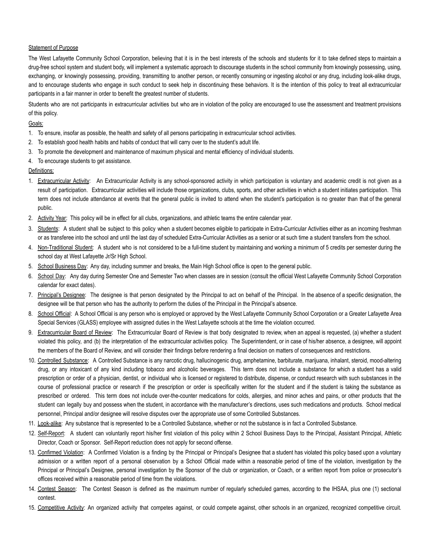#### Statement of Purpose

The West Lafayette Community School Corporation, believing that it is in the best interests of the schools and students for it to take defined steps to maintain a drug-free school system and student body, will implement a systematic approach to discourage students in the school community from knowingly possessing, using, exchanging, or knowingly possessing, providing, transmitting to another person, or recently consuming or ingesting alcohol or any drug, including look-alike drugs, and to encourage students who engage in such conduct to seek help in discontinuing these behaviors. It is the intention of this policy to treat all extracurricular participants in a fair manner in order to benefit the greatest number of students.

Students who are not participants in extracurricular activities but who are in violation of the policy are encouraged to use the assessment and treatment provisions of this policy.

### Goals:

- 1. To ensure, insofar as possible, the health and safety of all persons participating in extracurricular school activities.
- 2. To establish good health habits and habits of conduct that will carry over to the student's adult life.
- 3. To promote the development and maintenance of maximum physical and mental efficiency of individual students.
- 4. To encourage students to get assistance.

### Definitions:

- 1. Extracurricular Activity: An Extracurricular Activity is any school-sponsored activity in which participation is voluntary and academic credit is not given as a result of participation. Extracurricular activities will include those organizations, clubs, sports, and other activities in which a student initiates participation. This term does not include attendance at events that the general public is invited to attend when the student's participation is no greater than that of the general public.
- 2. Activity Year: This policy will be in effect for all clubs, organizations, and athletic teams the entire calendar year.
- 3. Students: A student shall be subject to this policy when a student becomes eligible to participate in Extra-Curricular Activities either as an incoming freshman or as transferee into the school and until the last day of scheduled Extra-Curricular Activities as a senior or at such time a student transfers from the school.
- 4. Non-Traditional Student: A student who is not considered to be a full-time student by maintaining and working a minimum of 5 credits per semester during the school day at West Lafayette Jr/Sr High School.
- 5. School Business Day: Any day, including summer and breaks, the Main High School office is open to the general public.
- 6. School Day: Any day during Semester One and Semester Two when classes are in session (consult the official West Lafayette Community School Corporation calendar for exact dates).
- 7. Principal's Designee: The designee is that person designated by the Principal to act on behalf of the Principal. In the absence of a specific designation, the designee will be that person who has the authority to perform the duties of the Principal in the Principal's absence.
- 8. School Official: A School Official is any person who is employed or approved by the West Lafayette Community School Corporation or a Greater Lafayette Area Special Services (GLASS) employee with assigned duties in the West Lafayette schools at the time the violation occurred.
- 9. Extracurricular Board of Review: The Extracurricular Board of Review is that body designated to review, when an appeal is requested, (a) whether a student violated this policy, and (b) the interpretation of the extracurricular activities policy. The Superintendent, or in case of his/her absence, a designee, will appoint the members of the Board of Review, and will consider their findings before rendering a final decision on matters of consequences and restrictions.
- 10. Controlled Substance: A Controlled Substance is any narcotic drug, hallucinogenic drug, amphetamine, barbiturate, marijuana, inhalant, steroid, mood-altering drug, or any intoxicant of any kind including tobacco and alcoholic beverages. This term does not include a substance for which a student has a valid prescription or order of a physician, dentist, or individual who is licensed or registered to distribute, dispense, or conduct research with such substances in the course of professional practice or research if the prescription or order is specifically written for the student and if the student is taking the substance as prescribed or ordered. This term does not include over-the-counter medications for colds, allergies, and minor aches and pains, or other products that the student can legally buy and possess when the student, in accordance with the manufacturer's directions, uses such medications and products. School medical personnel, Principal and/or designee will resolve disputes over the appropriate use of some Controlled Substances.
- 11. Look-alike: Any substance that is represented to be a Controlled Substance, whether or not the substance is in fact a Controlled Substance.
- 12. Self-Report: A student can voluntarily report his/her first violation of this policy within 2 School Business Days to the Principal, Assistant Principal, Athletic Director, Coach or Sponsor. Self-Report reduction does not apply for second offense.
- 13. Confirmed Violation: A Confirmed Violation is a finding by the Principal or Principal's Designee that a student has violated this policy based upon a voluntary admission or a written report of a personal observation by a School Official made within a reasonable period of time of the violation, investigation by the Principal or Principal's Designee, personal investigation by the Sponsor of the club or organization, or Coach, or a written report from police or prosecutor's offices received within a reasonable period of time from the violations.
- 14. Contest Season: The Contest Season is defined as the maximum number of regularly scheduled games, according to the IHSAA, plus one (1) sectional contest.
- 15. Competitive Activity: An organized activity that competes against, or could compete against, other schools in an organized, recognized competitive circuit.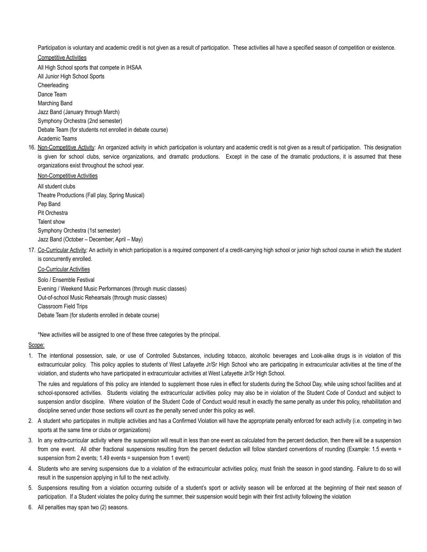Participation is voluntary and academic credit is not given as a result of participation. These activities all have a specified season of competition or existence.

### Competitive Activities

All High School sports that compete in IHSAA All Junior High School Sports Cheerleading Dance Team Marching Band Jazz Band (January through March) Symphony Orchestra (2nd semester) Debate Team (for students not enrolled in debate course) Academic Teams

16. Non-Competitive Activity: An organized activity in which participation is voluntary and academic credit is not given as a result of participation. This designation is given for school clubs, service organizations, and dramatic productions. Except in the case of the dramatic productions, it is assumed that these organizations exist throughout the school year.

#### Non-Competitive Activities

All student clubs Theatre Productions (Fall play, Spring Musical) Pep Band Pit Orchestra Talent show Symphony Orchestra (1st semester) Jazz Band (October – December; April – May)

17. Co-Curricular Activity: An activity in which participation is a required component of a credit-carrying high school or junior high school course in which the student is concurrently enrolled.

#### Co-Curricular Activities

Solo / Ensemble Festival Evening / Weekend Music Performances (through music classes) Out-of-school Music Rehearsals (through music classes) Classroom Field Trips Debate Team (for students enrolled in debate course)

\*New activities will be assigned to one of these three categories by the principal.

#### Scope:

1. The intentional possession, sale, or use of Controlled Substances, including tobacco, alcoholic beverages and Look-alike drugs is in violation of this extracurricular policy. This policy applies to students of West Lafayette Jr/Sr High School who are participating in extracurricular activities at the time of the violation, and students who have participated in extracurricular activities at West Lafayette Jr/Sr High School.

The rules and regulations of this policy are intended to supplement those rules in effect for students during the School Day, while using school facilities and at school-sponsored activities. Students violating the extracurricular activities policy may also be in violation of the Student Code of Conduct and subject to suspension and/or discipline. Where violation of the Student Code of Conduct would result in exactly the same penalty as under this policy, rehabilitation and discipline served under those sections will count as the penalty served under this policy as well.

- 2. A student who participates in multiple activities and has a Confirmed Violation will have the appropriate penalty enforced for each activity (i.e. competing in two sports at the same time or clubs or organizations)
- 3. In any extra-curricular activity where the suspension will result in less than one event as calculated from the percent deduction, then there will be a suspension from one event. All other fractional suspensions resulting from the percent deduction will follow standard conventions of rounding (Example: 1.5 events = suspension from 2 events; 1.49 events = suspension from 1 event)
- 4. Students who are serving suspensions due to a violation of the extracurricular activities policy, must finish the season in good standing. Failure to do so will result in the suspension applying in full to the next activity.
- 5. Suspensions resulting from a violation occurring outside of a student's sport or activity season will be enforced at the beginning of their next season of participation. If a Student violates the policy during the summer, their suspension would begin with their first activity following the violation
- 6. All penalties may span two (2) seasons.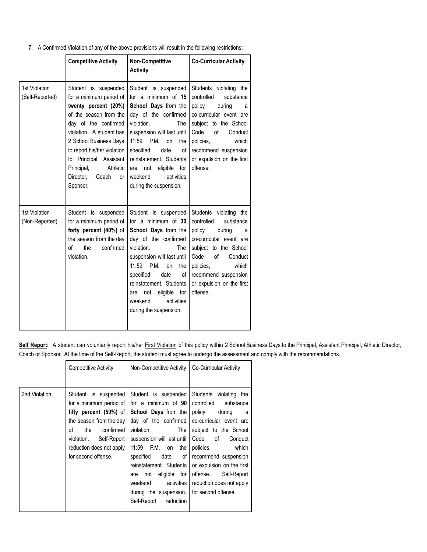7. A Confirmed Violation of any of the above provisions will result in the following restrictions:

|                                  | <b>Competitive Activity</b>                                                                                                                                                                                                                                                                                 | <b>Non-Competitive</b><br><b>Activity</b>                                                                                                                                                                                                                                                                             | <b>Co-Curricular Activity</b>                                                                                                                                                                                                                  |
|----------------------------------|-------------------------------------------------------------------------------------------------------------------------------------------------------------------------------------------------------------------------------------------------------------------------------------------------------------|-----------------------------------------------------------------------------------------------------------------------------------------------------------------------------------------------------------------------------------------------------------------------------------------------------------------------|------------------------------------------------------------------------------------------------------------------------------------------------------------------------------------------------------------------------------------------------|
| 1st Violation<br>(Self-Reported) | Student is suspended<br>for a minimum period of<br>twenty percent (20%)<br>of the season from the<br>day of the confirmed<br>violation. A student has<br>2 School Business Days<br>to report his/her violation<br>to Principal, Assistant<br>Principal,<br>Athletic<br>Director,<br>Coach<br>or<br>Sponsor. | Student is suspended<br>for a minimum of $15$<br>School Days from the<br>day of the confirmed<br>violation.<br>The<br>suspension will last until<br>11:59 P.M.<br>on<br>the<br>specified<br>of<br>date<br>reinstatement. Students<br>not<br>eligible<br>for<br>are<br>activities<br>weekend<br>during the suspension. | Students violating the<br>controlled<br>substance<br>policy<br>during<br>a<br>co-curricular event are<br>subject to the School<br>Code<br>of<br>Conduct<br>which<br>policies.<br>recommend suspension<br>or expulsion on the first<br>offense. |
| 1st Violation<br>(Non-Reported)  | Student is suspended<br>for a minimum period of<br>forty percent (40%) of<br>the season from the day<br>$\sigma$ f<br>the<br>confirmed<br>violation.                                                                                                                                                        | Student is suspended<br>for a minimum of 30<br>School Days from the<br>day of the confirmed<br>violation.<br>The<br>suspension will last until<br>11:59 P.M.<br>on<br>the<br>specified<br>date<br>of<br>reinstatement. Students<br>for<br>eligible<br>not<br>are<br>activities<br>weekend<br>during the suspension.   | Students violating the<br>controlled<br>substance<br>policy<br>during<br>a<br>co-curricular event are<br>subject to the School<br>Code<br>of<br>Conduct<br>policies,<br>which<br>recommend suspension<br>or expulsion on the first<br>offense. |

Self Report: A student can voluntarily report his/her First Violation of this policy within 2 School Business Days to the Principal, Assistant Principal, Athletic Director, Coach or Sponsor. At the time of the Self-Report, the student must agree to undergo the assessment and comply with the recommendations.

|               | <b>Competitive Activity</b>                                                                                                                                                                                      | Non-Competitive Activity                                                                                                                                                                                                                                                                                                                                      | Co-Curricular Activity                                                                                                                                                                                                                                                                                          |
|---------------|------------------------------------------------------------------------------------------------------------------------------------------------------------------------------------------------------------------|---------------------------------------------------------------------------------------------------------------------------------------------------------------------------------------------------------------------------------------------------------------------------------------------------------------------------------------------------------------|-----------------------------------------------------------------------------------------------------------------------------------------------------------------------------------------------------------------------------------------------------------------------------------------------------------------|
| 2nd Violation | Student is suspended<br>for a minimum period of<br>fifty percent $(50%)$ of<br>the season from the day<br>Ωf<br>confirmed<br>the<br>violation.<br>Self-Report<br>reduction does not apply<br>for second offense. | Student is suspended<br>for a minimum of 90<br><b>School Days from the</b><br>day of the confirmed<br>violation.<br>The I<br>suspension will last until<br>11:59 P.M. on<br>the I<br>specified<br>date<br>of I<br>reinstatement. Students<br>for I<br>eligible<br>not<br>are<br>activities I<br>weekend<br>during the suspension.<br>Self-Report<br>reduction | Students violating the<br>controlled substance<br>policy<br>during<br>a -<br>co-curricular event are<br>subject to the School<br>Code<br>of<br>Conduct<br>which<br>policies.<br>recommend suspension<br>or expulsion on the first<br>offense.<br>Self-Report<br>reduction does not apply<br>for second offense. |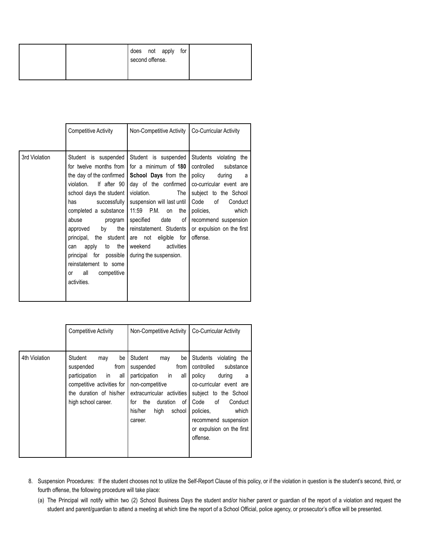|  | second offense. | does not apply | for |  |  |
|--|-----------------|----------------|-----|--|--|
|  |                 |                |     |  |  |

|               | <b>Competitive Activity</b>                                                                                                                                                                                                                                                                                                                                                             | Non-Competitive Activity                                                                                                                                                                                                                                                                                                | Co-Curricular Activity                                                                                                                                                                                                                        |
|---------------|-----------------------------------------------------------------------------------------------------------------------------------------------------------------------------------------------------------------------------------------------------------------------------------------------------------------------------------------------------------------------------------------|-------------------------------------------------------------------------------------------------------------------------------------------------------------------------------------------------------------------------------------------------------------------------------------------------------------------------|-----------------------------------------------------------------------------------------------------------------------------------------------------------------------------------------------------------------------------------------------|
| 3rd Violation | Student is suspended<br>for twelve months from I<br>the day of the confirmed<br>violation. If after 90<br>school days the student<br>successfully<br>has<br>completed a substance<br>abuse<br>program<br>by<br>the I<br>approved<br>principal, the student<br>the I<br>apply<br>to<br>can<br>principal for possible<br>reinstatement to some<br>all<br>competitive<br>or<br>activities. | Student is suspended<br>for a minimum of 180<br><b>School Days from the I</b><br>day of the confirmed<br>violation.<br>The I<br>suspension will last until<br>11:59 P.M. on<br>the<br>specified<br>date<br>of I<br>reinstatement. Students  <br>are not eligible for<br>weekend<br>activities<br>during the suspension. | Students violating the<br>controlled<br>substance<br>policy<br>during<br>a a<br>co-curricular event are<br>subject to the School<br>Code of<br>Conduct<br>which<br>policies,<br>recommend suspension<br>or expulsion on the first<br>offense. |

|               | <b>Competitive Activity</b>                                                                                                                             | Non-Competitive Activity                                                                                                                                                                          | Co-Curricular Activity                                                                                                                                                                                                                            |
|---------------|---------------------------------------------------------------------------------------------------------------------------------------------------------|---------------------------------------------------------------------------------------------------------------------------------------------------------------------------------------------------|---------------------------------------------------------------------------------------------------------------------------------------------------------------------------------------------------------------------------------------------------|
| 4th Violation | Student<br>be<br>may<br>suspended<br>from<br>in<br>participation<br>all<br>competitive activities for<br>the duration of his/her<br>high school career. | Student<br>be<br>may<br>suspended<br>from<br>in.<br>participation<br>all<br>non-competitive<br>extracurricular activities<br>the<br>for<br>duration<br>οf<br>his/her<br>high<br>school<br>career. | Students<br>violating the<br>controlled<br>substance<br>policy<br>during<br>a<br>co-curricular event are<br>subject to the School<br>Code<br>οf<br>Conduct<br>policies.<br>which<br>recommend suspension<br>or expulsion on the first<br>offense. |

8. Suspension Procedures: If the student chooses not to utilize the Self-Report Clause of this policy, or if the violation in question is the student's second, third, or fourth offense, the following procedure will take place:

(a) The Principal will notify within two (2) School Business Days the student and/or his/her parent or guardian of the report of a violation and request the student and parent/guardian to attend a meeting at which time the report of a School Official, police agency, or prosecutor's office will be presented.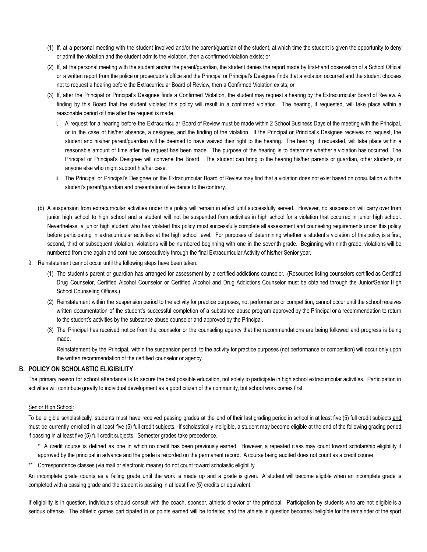- (1) If, at a personal meeting with the student involved and/or the parent/guardian of the student, at which time the student is given the opportunity to deny or admit the violation and the student admits the violation, then a confirmed violation exists; or
- (2) If, at the personal meeting with the student and/or the parent/guardian, the student denies the report made by first-hand observation of a School Official or a written report from the police or prosecutor's office and the Principal or Principal's Designee finds that a violation occurred and the student chooses not to request a hearing before the Extracurricular Board of Review, then a Confirmed Violation exists; or
- (3) If, after the Principal or Principal's Designee finds a Confirmed Violation, the student may request a hearing by the Extracurricular Board of Review. A finding by this Board that the student violated this policy will result in a confirmed violation. The hearing, if requested, will take place within a reasonable period of time after the request is made.
	- i. A request for a hearing before the Extracurricular Board of Review must be made within 2 School Business Days of the meeting with the Principal, or in the case of his/her absence, a designee, and the finding of the violation. If the Principal or Principal's Designee receives no request, the student and his/her parent/guardian will be deemed to have waived their right to the hearing. The hearing, if requested, will take place within a reasonable amount of time after the request has been made. The purpose of the hearing is to determine whether a violation has occurred. The Principal or Principal's Designee will convene the Board. The student can bring to the hearing his/her parents or guardian, other students, or anyone else who might support his/her case.
	- ii. The Principal or Principal's Designee or the Extracurricular Board of Review may find that a violation does not exist based on consultation with the student's parent/guardian and presentation of evidence to the contrary.
- (b) A suspension from extracurricular activities under this policy will remain in effect until successfully served. However, no suspension will carry over from junior high school to high school and a student will not be suspended from activities in high school for a violation that occurred in junior high school. Nevertheless, a junior high student who has violated this policy must successfully complete all assessment and counseling requirements under this policy before participating in extracurricular activities at the high school level. For purposes of determining whether a student's violation of this policy is a first, second, third or subsequent violation, violations will be numbered beginning with one in the seventh grade. Beginning with ninth grade, violations will be numbered from one again and continue consecutively through the final Extracurricular Activity of his/her Senior year.
- 9. Reinstatement cannot occur until the following steps have been taken:
	- (1) The student's parent or guardian has arranged for assessment by a certified addictions counselor. (Resources listing counselors certified as Certified Drug Counselor, Certified Alcohol Counselor or Certified Alcohol and Drug Addictions Counselor must be obtained through the Junior/Senior High School Counseling Offices.)
	- (2) Reinstatement within the suspension period to the activity for practice purposes, not performance or competition, cannot occur until the school receives written documentation of the student's successful completion of a substance abuse program approved by the Principal or a recommendation to return to the student's activities by the substance abuse counselor and approved by the Principal.
	- (3) The Principal has received notice from the counselor or the counseling agency that the recommendations are being followed and progress is being made.

Reinstatement by the Principal, within the suspension period, to the activity for practice purposes (not performance or competition) will occur only upon the written recommendation of the certified counselor or agency.

# **B. POLICY ON SCHOLASTIC ELIGIBILITY**

The primary reason for school attendance is to secure the best possible education, not solely to participate in high school extracurricular activities. Participation in activities will contribute greatly to individual development as a good citizen of the community, but school work comes first.

# Senior High School:

To be eligible scholastically, students must have received passing grades at the end of their last grading period in school in at least five (5) full credit subjects and must be currently enrolled in at least five (5) full credit subjects. If scholastically ineligible, a student may become eligible at the end of the following grading period if passing in at least five (5) full credit subjects. Semester grades take precedence.

- \* A credit course is defined as one in which no credit has been previously earned. However, a repeated class may count toward scholarship eligibility if approved by the principal in advance and the grade is recorded on the permanent record. A course being audited does not count as a credit course.
- \*\* Correspondence classes (via mail or electronic means) do not count toward scholastic eligibility.

An incomplete grade counts as a failing grade until the work is made up and a grade is given. A student will become eligible when an incomplete grade is completed with a passing grade and the student is passing in at least five (5) credits or equivalent.

If eligibility is in question, individuals should consult with the coach, sponsor, athletic director or the principal. Participation by students who are not eligible is a serious offense. The athletic games participated in or points earned will be forfeited and the athlete in question becomes ineligible for the remainder of the sport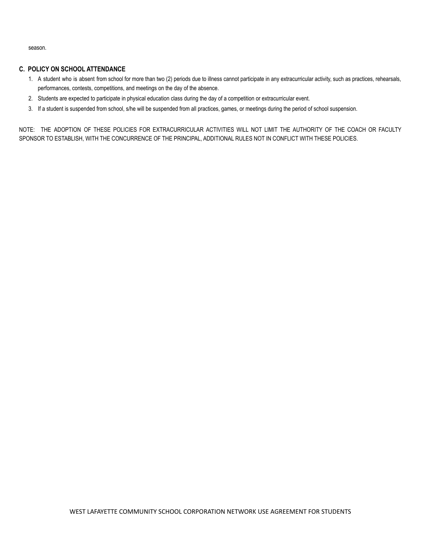season.

# **C. POLICY ON SCHOOL ATTENDANCE**

- 1. A student who is absent from school for more than two (2) periods due to illness cannot participate in any extracurricular activity, such as practices, rehearsals, performances, contests, competitions, and meetings on the day of the absence.
- 2. Students are expected to participate in physical education class during the day of a competition or extracurricular event.
- 3. If a student is suspended from school, s/he will be suspended from all practices, games, or meetings during the period of school suspension.

NOTE: THE ADOPTION OF THESE POLICIES FOR EXTRACURRICULAR ACTIVITIES WILL NOT LIMIT THE AUTHORITY OF THE COACH OR FACULTY SPONSOR TO ESTABLISH, WITH THE CONCURRENCE OF THE PRINCIPAL, ADDITIONAL RULES NOT IN CONFLICT WITH THESE POLICIES.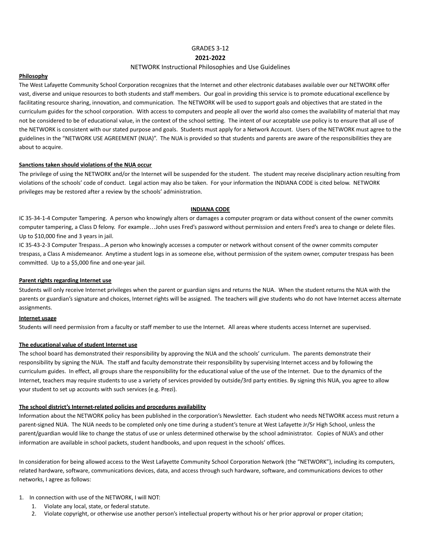GRADES 3-12

#### **2021-2022**

#### NETWORK Instructional Philosophies and Use Guidelines

#### **Philosophy**

The West Lafayette Community School Corporation recognizes that the Internet and other electronic databases available over our NETWORK offer vast, diverse and unique resources to both students and staff members. Our goal in providing this service is to promote educational excellence by facilitating resource sharing, innovation, and communication. The NETWORK will be used to support goals and objectives that are stated in the curriculum guides for the school corporation. With access to computers and people all over the world also comes the availability of material that may not be considered to be of educational value, in the context of the school setting. The intent of our acceptable use policy is to ensure that all use of the NETWORK is consistent with our stated purpose and goals. Students must apply for a Network Account. Users of the NETWORK must agree to the guidelines in the "NETWORK USE AGREEMENT (NUA)". The NUA is provided so that students and parents are aware of the responsibilities they are about to acquire.

#### **Sanctions taken should violations of the NUA occur**

The privilege of using the NETWORK and/or the Internet will be suspended for the student. The student may receive disciplinary action resulting from violations of the schools' code of conduct. Legal action may also be taken. For your information the INDIANA CODE is cited below. NETWORK privileges may be restored after a review by the schools' administration.

#### **INDIANA CODE**

IC 35-34-1-4 Computer Tampering. A person who knowingly alters or damages a computer program or data without consent of the owner commits computer tampering, a Class D felony. For example…John uses Fred's password without permission and enters Fred's area to change or delete files. Up to \$10,000 fine and 3 years in jail.

IC 35-43-2-3 Computer Trespass...A person who knowingly accesses a computer or network without consent of the owner commits computer trespass, a Class A misdemeanor. Anytime a student logs in as someone else, without permission of the system owner, computer trespass has been committed. Up to a \$5,000 fine and one-year jail.

#### **Parent rights regarding Internet use**

Students will only receive Internet privileges when the parent or guardian signs and returns the NUA. When the student returns the NUA with the parents or guardian's signature and choices, Internet rights will be assigned. The teachers will give students who do not have Internet access alternate assignments.

# **Internet usage**

Students will need permission from a faculty or staff member to use the Internet. All areas where students access Internet are supervised.

#### **The educational value of student Internet use**

The school board has demonstrated their responsibility by approving the NUA and the schools' curriculum. The parents demonstrate their responsibility by signing the NUA. The staff and faculty demonstrate their responsibility by supervising Internet access and by following the curriculum guides. In effect, all groups share the responsibility for the educational value of the use of the Internet. Due to the dynamics of the Internet, teachers may require students to use a variety of services provided by outside/3rd party entities. By signing this NUA, you agree to allow your student to set up accounts with such services (e.g. Prezi).

#### **The school district's Internet-related policies and procedures availability**

Information about the NETWORK policy has been published in the corporation's Newsletter. Each student who needs NETWORK access must return a parent-signed NUA. The NUA needs to be completed only one time during a student's tenure at West Lafayette Jr/Sr High School, unless the parent/guardian would like to change the status of use or unless determined otherwise by the school administrator. Copies of NUA's and other information are available in school packets, student handbooks, and upon request in the schools' offices.

In consideration for being allowed access to the West Lafayette Community School Corporation Network (the "NETWORK"), including its computers, related hardware, software, communications devices, data, and access through such hardware, software, and communications devices to other networks, I agree as follows:

#### 1. In connection with use of the NETWORK, I will NOT:

- 1. Violate any local, state, or federal statute.
- 2. Violate copyright, or otherwise use another person's intellectual property without his or her prior approval or proper citation;